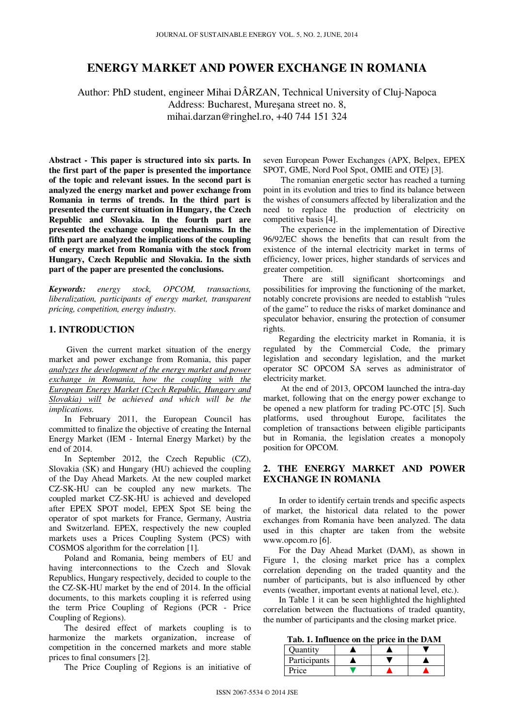# **ENERGY MARKET AND POWER EXCHANGE IN ROMANIA**

Author: PhD student, engineer Mihai DÂRZAN, Technical University of Cluj-Napoca Address: Bucharest, Mureşana street no. 8, mihai.darzan@ringhel.ro, +40 744 151 324

**Abstract - This paper is structured into six parts. In the first part of the paper is presented the importance of the topic and relevant issues. In the second part is analyzed the energy market and power exchange from Romania in terms of trends. In the third part is presented the current situation in Hungary, the Czech Republic and Slovakia. In the fourth part are presented the exchange coupling mechanisms. In the fifth part are analyzed the implications of the coupling of energy market from Romania with the stock from Hungary, Czech Republic and Slovakia. In the sixth part of the paper are presented the conclusions.** 

*Keywords: energy stock, OPCOM, transactions, liberalization, participants of energy market, transparent pricing, competition, energy industry.* 

#### **1. INTRODUCTION**

 Given the current market situation of the energy market and power exchange from Romania, this paper *analyzes the development of the energy market and power exchange in Romania, how the coupling with the European Energy Market (Czech Republic, Hungary and Slovakia) will be achieved and which will be the implications*.

In February 2011, the European Council has committed to finalize the objective of creating the Internal Energy Market (IEM - Internal Energy Market) by the end of 2014.

In September 2012, the Czech Republic (CZ), Slovakia (SK) and Hungary (HU) achieved the coupling of the Day Ahead Markets. At the new coupled market CZ-SK-HU can be coupled any new markets. The coupled market CZ-SK-HU is achieved and developed after EPEX SPOT model, EPEX Spot SE being the operator of spot markets for France, Germany, Austria and Switzerland. EPEX, respectively the new coupled markets uses a Prices Coupling System (PCS) with COSMOS algorithm for the correlation [1].

Poland and Romania, being members of EU and having interconnections to the Czech and Slovak Republics, Hungary respectively, decided to couple to the the CZ-SK-HU market by the end of 2014. In the official documents, to this markets coupling it is referred using the term Price Coupling of Regions (PCR - Price Coupling of Regions).

The desired effect of markets coupling is to harmonize the markets organization, increase of competition in the concerned markets and more stable prices to final consumers [2].

The Price Coupling of Regions is an initiative of

seven European Power Exchanges (APX, Belpex, EPEX SPOT, GME, Nord Pool Spot, OMIE and OTE) [3].

 The romanian energetic sector has reached a turning point in its evolution and tries to find its balance between the wishes of consumers affected by liberalization and the need to replace the production of electricity on competitive basis [4].

 The experience in the implementation of Directive 96/92/EC shows the benefits that can result from the existence of the internal electricity market in terms of efficiency, lower prices, higher standards of services and greater competition.

 There are still significant shortcomings and possibilities for improving the functioning of the market, notably concrete provisions are needed to establish "rules of the game" to reduce the risks of market dominance and speculator behavior, ensuring the protection of consumer rights.

Regarding the electricity market in Romania, it is regulated by the Commercial Code, the primary legislation and secondary legislation, and the market operator SC OPCOM SA serves as administrator of electricity market.

 At the end of 2013, OPCOM launched the intra-day market, following that on the energy power exchange to be opened a new platform for trading PC-OTC [5]. Such platforms, used throughout Europe, facilitates the completion of transactions between eligible participants but in Romania, the legislation creates a monopoly position for OPCOM.

### **2. THE ENERGY MARKET AND POWER EXCHANGE IN ROMANIA**

In order to identify certain trends and specific aspects of market, the historical data related to the power exchanges from Romania have been analyzed. The data used in this chapter are taken from the website www.opcom.ro [6].

For the Day Ahead Market (DAM), as shown in Figure 1, the closing market price has a complex correlation depending on the traded quantity and the number of participants, but is also influenced by other events (weather, important events at national level, etc.).

In Table 1 it can be seen highlighted the highlighted correlation between the fluctuations of traded quantity, the number of participants and the closing market price.

**Tab. 1. Influence on the price in the DAM**

| Ouantity     |  |  |
|--------------|--|--|
| Participants |  |  |
| Price        |  |  |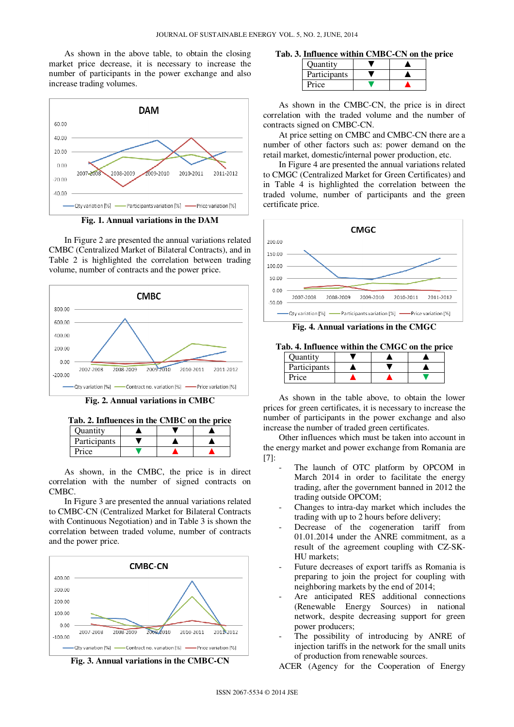As shown in the above table, to obtain the closing market price decrease, it is necessary to increase the number of participants in the power exchange and also increase trading volumes.



**Fig. 1. Annual variations in the DAM**

In Figure 2 are presented the annual variations related CMBC (Centralized Market of Bilateral Contracts), and in Table 2 is highlighted the correlation between trading volume, number of contracts and the power price.



**Fig. 2. Annual variations in CMBC**

| Participants | Ouantitv |  |  |
|--------------|----------|--|--|
|              |          |  |  |
|              | Price    |  |  |

As shown, in the CMBC, the price is in direct correlation with the number of signed contracts on CMBC.

In Figure 3 are presented the annual variations related to CMBC-CN (Centralized Market for Bilateral Contracts with Continuous Negotiation) and in Table 3 is shown the correlation between traded volume, number of contracts and the power price.



**Tab. 3. Influence within CMBC-CN on the price** 

| <b>Ouantity</b> |  |  |
|-----------------|--|--|
| Participants    |  |  |
| Price           |  |  |

As shown in the CMBC-CN, the price is in direct correlation with the traded volume and the number of contracts signed on CMBC-CN.

At price setting on CMBC and CMBC-CN there are a number of other factors such as: power demand on the retail market, domestic/internal power production, etc.

In Figure 4 are presented the annual variations related to CMGC (Centralized Market for Green Certificates) and in Table 4 is highlighted the correlation between the traded volume, number of participants and the green certificate price.



**Fig. 4. Annual variations in the CMGC**

**Tab. 4. Influence within the CMGC on the price**

| Quantity     |  |  |
|--------------|--|--|
| Participants |  |  |
| Price        |  |  |

As shown in the table above, to obtain the lower prices for green certificates, it is necessary to increase the number of participants in the power exchange and also increase the number of traded green certificates.

Other influences which must be taken into account in the energy market and power exchange from Romania are [7]:

- The launch of OTC platform by OPCOM in March 2014 in order to facilitate the energy trading, after the government banned in 2012 the trading outside OPCOM;
- Changes to intra-day market which includes the trading with up to 2 hours before delivery;
- Decrease of the cogeneration tariff from 01.01.2014 under the ANRE commitment, as a result of the agreement coupling with CZ-SK-HU markets;
- Future decreases of export tariffs as Romania is preparing to join the project for coupling with neighboring markets by the end of 2014;
- Are anticipated RES additional connections (Renewable Energy Sources) in national network, despite decreasing support for green power producers;
- The possibility of introducing by ANRE of injection tariffs in the network for the small units of production from renewable sources.

ACER (Agency for the Cooperation of Energy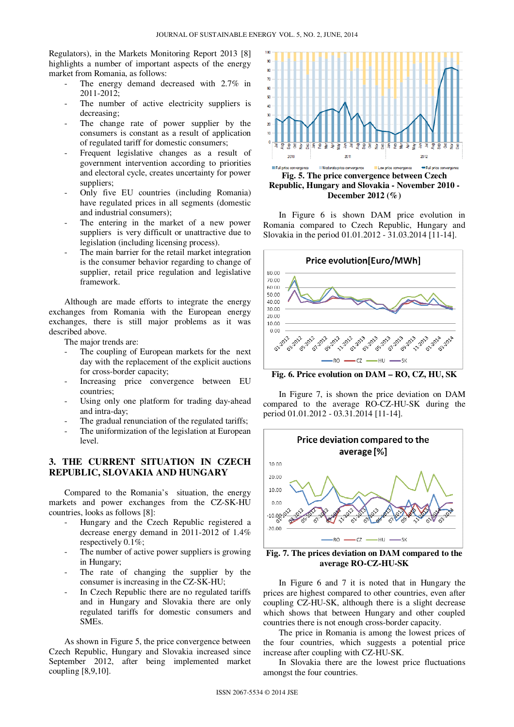Regulators), in the Markets Monitoring Report 2013 [8] highlights a number of important aspects of the energy market from Romania, as follows:

- The energy demand decreased with 2.7% in 2011-2012;
- The number of active electricity suppliers is decreasing;
- The change rate of power supplier by the consumers is constant as a result of application of regulated tariff for domestic consumers;
- Frequent legislative changes as a result of government intervention according to priorities and electoral cycle, creates uncertainty for power suppliers;
- Only five EU countries (including Romania) have regulated prices in all segments (domestic and industrial consumers);
- The entering in the market of a new power suppliers is very difficult or unattractive due to legislation (including licensing process).
- The main barrier for the retail market integration is the consumer behavior regarding to change of supplier, retail price regulation and legislative framework.

Although are made efforts to integrate the energy exchanges from Romania with the European energy exchanges, there is still major problems as it was described above.

The major trends are:

- The coupling of European markets for the next day with the replacement of the explicit auctions for cross-border capacity;
- Increasing price convergence between EU countries;
- Using only one platform for trading day-ahead and intra-day;
- The gradual renunciation of the regulated tariffs;
- The uniformization of the legislation at European level.

# **3. THE CURRENT SITUATION IN CZECH REPUBLIC, SLOVAKIA AND HUNGARY**

Compared to the Romania's situation, the energy markets and power exchanges from the CZ-SK-HU countries, looks as follows [8]:

- Hungary and the Czech Republic registered a decrease energy demand in 2011-2012 of 1.4% respectively 0.1%;
- The number of active power suppliers is growing in Hungary;
- The rate of changing the supplier by the consumer is increasing in the CZ-SK-HU;
- In Czech Republic there are no regulated tariffs and in Hungary and Slovakia there are only regulated tariffs for domestic consumers and SMEs.

As shown in Figure 5, the price convergence between Czech Republic, Hungary and Slovakia increased since September 2012, after being implemented market coupling [8,9,10].



In Figure 6 is shown DAM price evolution in Romania compared to Czech Republic, Hungary and Slovakia in the period 01.01.2012 - 31.03.2014 [11-14].



**Fig. 6. Price evolution on DAM – RO, CZ, HU, SK** 

In Figure 7, is shown the price deviation on DAM compared to the average RO-CZ-HU-SK during the period 01.01.2012 - 03.31.2014 [11-14].



**Fig. 7. The prices deviation on DAM compared to the average RO-CZ-HU-SK** 

In Figure 6 and 7 it is noted that in Hungary the prices are highest compared to other countries, even after coupling CZ-HU-SK, although there is a slight decrease which shows that between Hungary and other coupled countries there is not enough cross-border capacity.

The price in Romania is among the lowest prices of the four countries, which suggests a potential price increase after coupling with CZ-HU-SK.

In Slovakia there are the lowest price fluctuations amongst the four countries.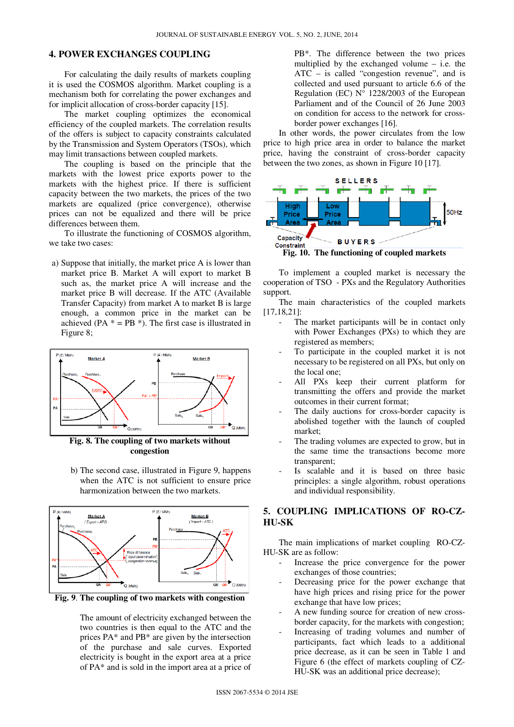## **4. POWER EXCHANGES COUPLING**

For calculating the daily results of markets coupling it is used the COSMOS algorithm. Market coupling is a mechanism both for correlating the power exchanges and for implicit allocation of cross-border capacity [15].

The market coupling optimizes the economical efficiency of the coupled markets. The correlation results of the offers is subject to capacity constraints calculated by the Transmission and System Operators (TSOs), which may limit transactions between coupled markets.

The coupling is based on the principle that the markets with the lowest price exports power to the markets with the highest price. If there is sufficient capacity between the two markets, the prices of the two markets are equalized (price convergence), otherwise prices can not be equalized and there will be price differences between them.

To illustrate the functioning of COSMOS algorithm, we take two cases:

a) Suppose that initially, the market price A is lower than market price B. Market A will export to market B such as, the market price A will increase and the market price B will decrease. If the ATC (Available Transfer Capacity) from market A to market B is large enough, a common price in the market can be achieved (PA  $* = PB *$ ). The first case is illustrated in Figure 8;



**Fig. 8. The coupling of two markets without congestion**

b) The second case, illustrated in Figure 9, happens when the ATC is not sufficient to ensure price harmonization between the two markets.



**Fig. 9**. **The coupling of two markets with congestion** 

The amount of electricity exchanged between the two countries is then equal to the ATC and the prices PA\* and PB\* are given by the intersection of the purchase and sale curves. Exported electricity is bought in the export area at a price of PA\* and is sold in the import area at a price of

PB\*. The difference between the two prices multiplied by the exchanged volume – i.e. the ATC – is called "congestion revenue", and is collected and used pursuant to article 6.6 of the Regulation (EC)  $N^{\circ}$  1228/2003 of the European Parliament and of the Council of 26 June 2003 on condition for access to the network for crossborder power exchanges [16].

In other words, the power circulates from the low price to high price area in order to balance the market price, having the constraint of cross-border capacity between the two zones, as shown in Figure 10 [17].



To implement a coupled market is necessary the cooperation of TSO - PXs and the Regulatory Authorities support.

The main characteristics of the coupled markets [17,18,21]:

- The market participants will be in contact only with Power Exchanges (PXs) to which they are registered as members;
- To participate in the coupled market it is not necessary to be registered on all PXs, but only on the local one;
- All PXs keep their current platform for transmitting the offers and provide the market outcomes in their current format;
- The daily auctions for cross-border capacity is abolished together with the launch of coupled market;
- The trading volumes are expected to grow, but in the same time the transactions become more transparent;
- Is scalable and it is based on three basic principles: a single algorithm, robust operations and individual responsibility.

## **5. COUPLING IMPLICATIONS OF RO-CZ-HU-SK**

The main implications of market coupling RO-CZ-HU-SK are as follow:

- Increase the price convergence for the power exchanges of those countries;
- Decreasing price for the power exchange that have high prices and rising price for the power exchange that have low prices;
- A new funding source for creation of new crossborder capacity, for the markets with congestion;
- Increasing of trading volumes and number of participants, fact which leads to a additional price decrease, as it can be seen in Table 1 and Figure 6 (the effect of markets coupling of CZ-HU-SK was an additional price decrease);